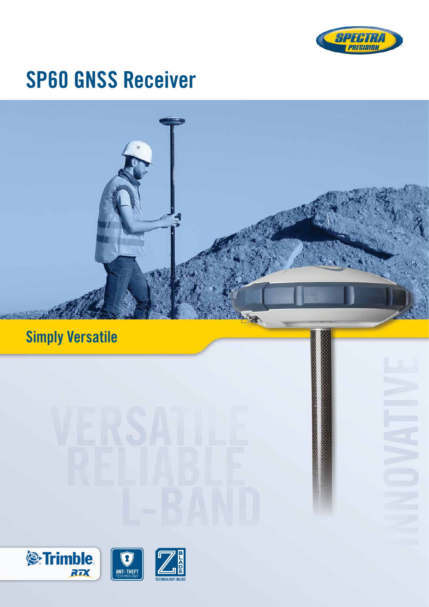

# SP60 GNSS Receiver









**PLADATE**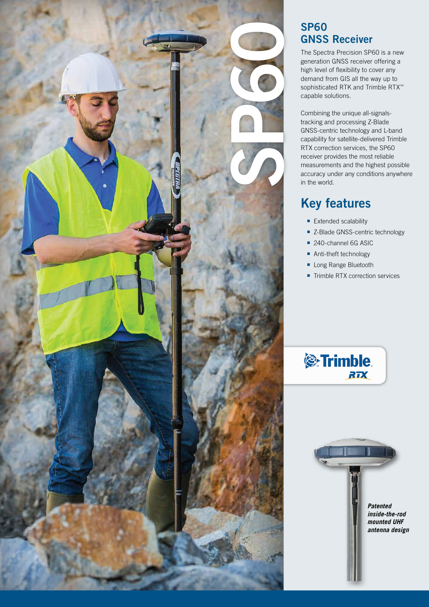

# SP60 GNSS Receiver

The Spectra Precision SP60 is a new generation GNSS receiver offering a high level of flexibility to cover any demand from GIS all the way up to sophisticated RTK and Trimble RTX<sup>™</sup> capable solutions.

Combining the unique all-signalstracking and processing Z-Blade GNSS-centric technology and L-band capability for satellite-delivered Trimble RTX correction services, the SP60 receiver provides the most reliable measurements and the highest possible accuracy under any conditions anywhere in the world.

# Key features

- Extended scalability
- Z-Blade GNSS-centric technology
- 240-channel 6G ASIC
- Anti-theft technology
- Long Range Bluetooth
- Trimble RTX correction services



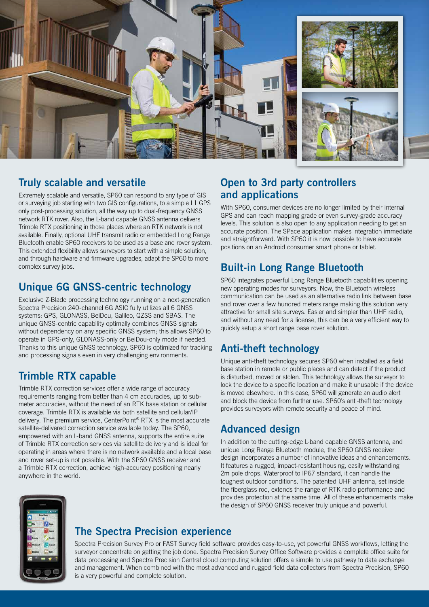

# Truly scalable and versatile

Extremely scalable and versatile, SP60 can respond to any type of GIS or surveying job starting with two GIS configurations, to a simple L1 GPS only post-processing solution, all the way up to dual-frequency GNSS network RTK rover. Also, the L-band capable GNSS antenna delivers Trimble RTX positioning in those places where an RTK network is not available. Finally, optional UHF transmit radio or embedded Long Range Bluetooth enable SP60 receivers to be used as a base and rover system. This extended flexibility allows surveyors to start with a simple solution, and through hardware and firmware upgrades, adapt the SP60 to more complex survey jobs.

# Unique 6G GNSS-centric technology

Exclusive Z-Blade processing technology running on a next-generation Spectra Precision 240-channel 6G ASIC fully utilizes all 6 GNSS systems: GPS, GLONASS, BeiDou, Galileo, QZSS and SBAS. The unique GNSS-centric capability optimally combines GNSS signals without dependency on any specific GNSS system; this allows SP60 to operate in GPS-only, GLONASS-only or BeiDou-only mode if needed. Thanks to this unique GNSS technology, SP60 is optimized for tracking and processing signals even in very challenging environments.

# Trimble RTX capable

Trimble RTX correction services offer a wide range of accuracy requirements ranging from better than 4 cm accuracies, up to submeter accuracies, without the need of an RTK base station or cellular coverage. Trimble RTX is available via both satellite and cellular/IP delivery. The premium service, CenterPoint® RTX is the most accurate satellite-delivered correction service available today. The SP60, empowered with an L-band GNSS antenna, supports the entire suite of Trimble RTX correction services via satellite delivery and is ideal for operating in areas where there is no network available and a local base and rover set-up is not possible. With the SP60 GNSS receiver and a Trimble RTX correction, achieve high-accuracy positioning nearly anywhere in the world.

# Open to 3rd party controllers and applications

With SP60, consumer devices are no longer limited by their internal GPS and can reach mapping grade or even survey-grade accuracy levels. This solution is also open to any application needing to get an accurate position. The SPace application makes integration immediate and straightforward. With SP60 it is now possible to have accurate positions on an Android consumer smart phone or tablet.

# Built-in Long Range Bluetooth

SP60 integrates powerful Long Range Bluetooth capabilities opening new operating modes for surveyors. Now, the Bluetooth wireless communication can be used as an alternative radio link between base and rover over a few hundred meters range making this solution very attractive for small site surveys. Easier and simpler than UHF radio, and without any need for a license, this can be a very efficient way to quickly setup a short range base rover solution.

# Anti-theft technology

Unique anti-theft technology secures SP60 when installed as a field base station in remote or public places and can detect if the product is disturbed, moved or stolen. This technology allows the surveyor to lock the device to a specific location and make it unusable if the device is moved elsewhere. In this case, SP60 will generate an audio alert and block the device from further use. SP60's anti-theft technology provides surveyors with remote security and peace of mind.

# Advanced design

In addition to the cutting-edge L-band capable GNSS antenna, and unique Long Range Bluetooth module, the SP60 GNSS receiver design incorporates a number of innovative ideas and enhancements. It features a rugged, impact-resistant housing, easily withstanding 2m pole drops. Waterproof to IP67 standard, it can handle the toughest outdoor conditions. The patented UHF antenna, set inside the fiberglass rod, extends the range of RTK radio performance and provides protection at the same time. All of these enhancements make the design of SP60 GNSS receiver truly unique and powerful.



# The Spectra Precision experience

Spectra Precision Survey Pro or FAST Survey field software provides easy-to-use, yet powerful GNSS workflows, letting the surveyor concentrate on getting the job done. Spectra Precision Survey Office Software provides a complete office suite for data processing and Spectra Precision Central cloud computing solution offers a simple to use pathway to data exchange and management. When combined with the most advanced and rugged field data collectors from Spectra Precision, SP60 is a very powerful and complete solution.